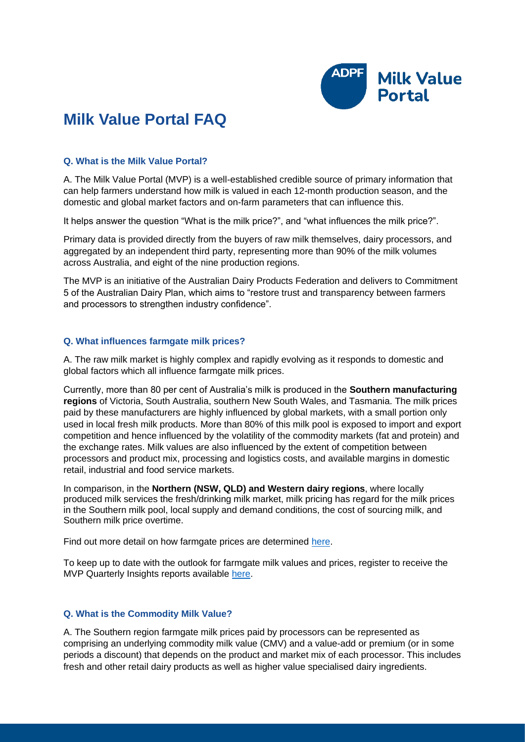

# **Milk Value Portal FAQ**

## **Q. What is the Milk Value Portal?**

A. The Milk Value Portal (MVP) is a well-established credible source of primary information that can help farmers understand how milk is valued in each 12-month production season, and the domestic and global market factors and on-farm parameters that can influence this.

It helps answer the question "What is the milk price?", and "what influences the milk price?".

Primary data is provided directly from the buyers of raw milk themselves, dairy processors, and aggregated by an independent third party, representing more than 90% of the milk volumes across Australia, and eight of the nine production regions.

The MVP is an initiative of the Australian Dairy Products Federation and delivers to Commitment 5 of the Australian Dairy Plan, which aims to "restore trust and transparency between farmers and processors to strengthen industry confidence".

## **Q. What influences farmgate milk prices?**

A. The raw milk market is highly complex and rapidly evolving as it responds to domestic and global factors which all influence farmgate milk prices.

Currently, more than 80 per cent of Australia's milk is produced in the **Southern manufacturing regions** of Victoria, South Australia, southern New South Wales, and Tasmania. The milk prices paid by these manufacturers are highly influenced by global markets, with a small portion only used in local fresh milk products. More than 80% of this milk pool is exposed to import and export competition and hence influenced by the volatility of the commodity markets (fat and protein) and the exchange rates. Milk values are also influenced by the extent of competition between processors and product mix, processing and logistics costs, and available margins in domestic retail, industrial and food service markets.

In comparison, in the **Northern (NSW, QLD) and Western dairy regions**, where locally produced milk services the fresh/drinking milk market, milk pricing has regard for the milk prices in the Southern milk pool, local supply and demand conditions, the cost of sourcing milk, and Southern milk price overtime.

Find out more detail on how farmgate prices are determined [here.](https://milkvalue.com.au/milk-prices/how-prices-are-determined/)

To keep up to date with the outlook for farmgate milk values and prices, register to receive the MVP Quarterly Insights reports available [here.](https://milkvalue.com.au/resources/insights/)

# **Q. What is the Commodity Milk Value?**

A. The Southern region farmgate milk prices paid by processors can be represented as comprising an underlying commodity milk value (CMV) and a value-add or premium (or in some periods a discount) that depends on the product and market mix of each processor. This includes fresh and other retail dairy products as well as higher value specialised dairy ingredients.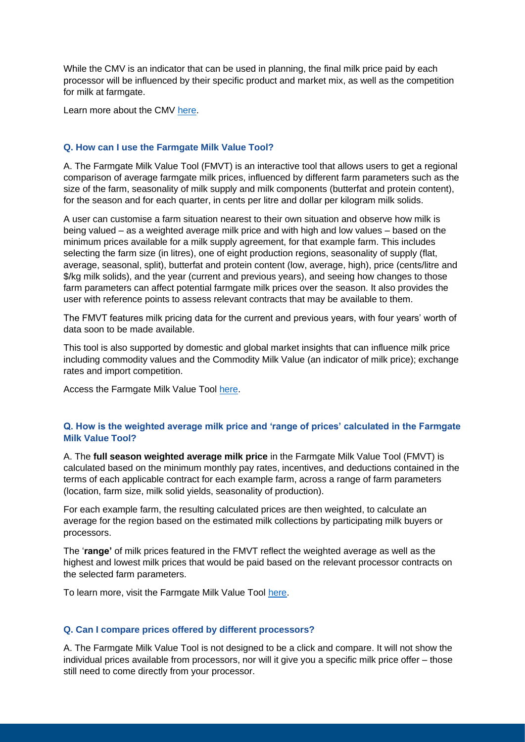While the CMV is an indicator that can be used in planning, the final milk price paid by each processor will be influenced by their specific product and market mix, as well as the competition for milk at farmgate.

Learn more about the CMV [here.](https://milkvalue.com.au/australian-dairy-market/milk-values/)

## **Q. How can I use the Farmgate Milk Value Tool?**

A. The Farmgate Milk Value Tool (FMVT) is an interactive tool that allows users to get a regional comparison of average farmgate milk prices, influenced by different farm parameters such as the size of the farm, seasonality of milk supply and milk components (butterfat and protein content), for the season and for each quarter, in cents per litre and dollar per kilogram milk solids.

A user can customise a farm situation nearest to their own situation and observe how milk is being valued – as a weighted average milk price and with high and low values – based on the minimum prices available for a milk supply agreement, for that example farm. This includes selecting the farm size (in litres), one of eight production regions, seasonality of supply (flat, average, seasonal, split), butterfat and protein content (low, average, high), price (cents/litre and \$/kg milk solids), and the year (current and previous years), and seeing how changes to those farm parameters can affect potential farmgate milk prices over the season. It also provides the user with reference points to assess relevant contracts that may be available to them.

The FMVT features milk pricing data for the current and previous years, with four years' worth of data soon to be made available.

This tool is also supported by domestic and global market insights that can influence milk price including commodity values and the Commodity Milk Value (an indicator of milk price); exchange rates and import competition.

Access the Farmgate Milk Value Tool [here.](https://milkvalue.com.au/milk-prices/farmgate-milk-value-tool/)

## **Q. How is the weighted average milk price and 'range of prices' calculated in the Farmgate Milk Value Tool?**

A. The **full season weighted average milk price** in the Farmgate Milk Value Tool (FMVT) is calculated based on the minimum monthly pay rates, incentives, and deductions contained in the terms of each applicable contract for each example farm, across a range of farm parameters (location, farm size, milk solid yields, seasonality of production).

For each example farm, the resulting calculated prices are then weighted, to calculate an average for the region based on the estimated milk collections by participating milk buyers or processors.

The '**range'** of milk prices featured in the FMVT reflect the weighted average as well as the highest and lowest milk prices that would be paid based on the relevant processor contracts on the selected farm parameters.

To learn more, visit the Farmgate Milk Value Tool [here.](https://milkvalue.com.au/milk-prices/farmgate-milk-value-tool/)

#### **Q. Can I compare prices offered by different processors?**

A. The Farmgate Milk Value Tool is not designed to be a click and compare. It will not show the individual prices available from processors, nor will it give you a specific milk price offer – those still need to come directly from your processor.